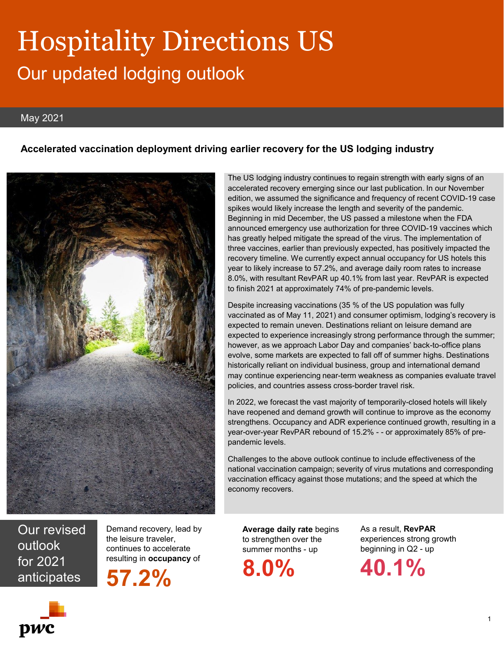# Hospitality Directions US Our updated lodging outlook

#### May 2021

#### **Accelerated vaccination deployment driving earlier recovery for the US lodging industry**



The US lodging industry continues to regain strength with early signs of an accelerated recovery emerging since our last publication. In our November edition, we assumed the significance and frequency of recent COVID-19 case spikes would likely increase the length and severity of the pandemic. Beginning in mid December, the US passed a milestone when the FDA announced emergency use authorization for three COVID-19 vaccines which has greatly helped mitigate the spread of the virus. The implementation of three vaccines, earlier than previously expected, has positively impacted the recovery timeline. We currently expect annual occupancy for US hotels this year to likely increase to 57.2%, and average daily room rates to increase 8.0%, with resultant RevPAR up 40.1% from last year. RevPAR is expected to finish 2021 at approximately 74% of pre-pandemic levels.

Despite increasing vaccinations (35 % of the US population was fully vaccinated as of May 11, 2021) and consumer optimism, lodging's recovery is expected to remain uneven. Destinations reliant on leisure demand are expected to experience increasingly strong performance through the summer; however, as we approach Labor Day and companies' back-to-office plans evolve, some markets are expected to fall off of summer highs. Destinations historically reliant on individual business, group and international demand may continue experiencing near-term weakness as companies evaluate travel policies, and countries assess cross-border travel risk.

In 2022, we forecast the vast majority of temporarily-closed hotels will likely have reopened and demand growth will continue to improve as the economy strengthens. Occupancy and ADR experience continued growth, resulting in a year-over-year RevPAR rebound of 15.2% - - or approximately 85% of prepandemic levels.

Challenges to the above outlook continue to include effectiveness of the national vaccination campaign; severity of virus mutations and corresponding vaccination efficacy against those mutations; and the speed at which the economy recovers.

Our revised outlook for 2021 for 2021 **57.2% 8.0% 40.1%** 

Demand recovery, lead by the leisure traveler, continues to accelerate resulting in **occupancy** of

**57.2%**

**Average daily rate** begins to strengthen over the summer months - up

**8.0%**

As a result, **RevPAR**  experiences strong growth beginning in Q2 - up



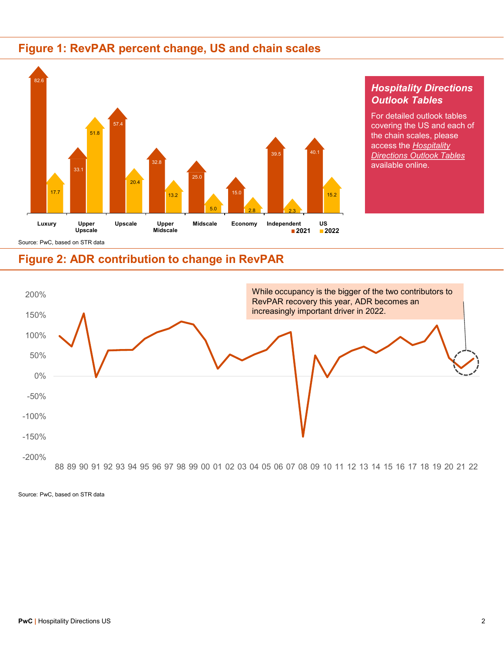## **Figure 1: RevPAR percent change, US and chain scales**



#### *Hospitality Directions Outlook Tables*

For detailed outlook tables covering the US and each of the chain scales, please access the *Hospitality Directions Outlook Tables* available online.

## **Figure 2: ADR contribution to change in RevPAR**



Source: PwC, based on STR data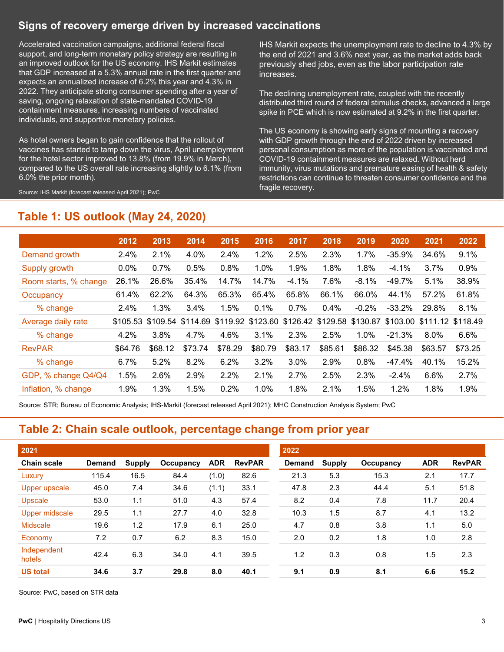## **Signs of recovery emerge driven by increased vaccinations**

Accelerated vaccination campaigns, additional federal fiscal support, and long-term monetary policy strategy are resulting in an improved outlook for the US economy. IHS Markit estimates that GDP increased at a 5.3% annual rate in the first quarter and expects an annualized increase of 6.2% this year and 4.3% in 2022. They anticipate strong consumer spending after a year of saving, ongoing relaxation of state-mandated COVID-19 containment measures, increasing numbers of vaccinated individuals, and supportive monetary policies.

As hotel owners began to gain confidence that the rollout of vaccines has started to tamp down the virus, April unemployment for the hotel sector improved to 13.8% (from 19.9% in March), compared to the US overall rate increasing slightly to 6.1% (from 6.0% the prior month).

Source: IHS Markit (forecast released April 2021); PwC

IHS Markit expects the unemployment rate to decline to 4.3% by the end of 2021 and 3.6% next year, as the market adds back previously shed jobs, even as the labor participation rate increases.

The declining unemployment rate, coupled with the recently distributed third round of federal stimulus checks, advanced a large spike in PCE which is now estimated at 9.2% in the first quarter.

The US economy is showing early signs of mounting a recovery with GDP growth through the end of 2022 driven by increased personal consumption as more of the population is vaccinated and COVID-19 containment measures are relaxed. Without herd immunity, virus mutations and premature easing of health & safety restrictions can continue to threaten consumer confidence and the fragile recovery.

## **Table 1: US outlook (May 24, 2020)**

|                       | 2012     | 2013    | 2014    | 2015    | 2016    | 2017    | 2018                                                           | 2019    | 2020     | 2021              | 2022    |
|-----------------------|----------|---------|---------|---------|---------|---------|----------------------------------------------------------------|---------|----------|-------------------|---------|
| Demand growth         | 2.4%     | 2.1%    | 4.0%    | 2.4%    | 1.2%    | 2.5%    | 2.3%                                                           | 1.7%    | $-35.9%$ | 34.6%             | 9.1%    |
| Supply growth         | $0.0\%$  | 0.7%    | 0.5%    | 0.8%    | 1.0%    | 1.9%    | 1.8%                                                           | 1.8%    | $-4.1%$  | 3.7%              | 0.9%    |
| Room starts, % change | 26.1%    | 26.6%   | 35.4%   | 14.7%   | 14.7%   | $-4.1%$ | 7.6%                                                           | $-8.1%$ | -49.7%   | 5.1%              | 38.9%   |
| Occupancy             | 61.4%    | 62.2%   | 64.3%   | 65.3%   | 65.4%   | 65.8%   | 66.1%                                                          | 66.0%   | 44.1%    | 57.2%             | 61.8%   |
| % change              | 2.4%     | 1.3%    | 3.4%    | 1.5%    | 0.1%    | 0.7%    | 0.4%                                                           | $-0.2%$ | $-33.2%$ | 29.8%             | 8.1%    |
| Average daily rate    | \$105.53 |         |         |         |         |         | \$109.54 \$114.69 \$119.92 \$123.60 \$126.42 \$129.58 \$130.87 |         | \$103.00 | \$111.12 \$118.49 |         |
| % change              | 4.2%     | 3.8%    | 4.7%    | 4.6%    | 3.1%    | 2.3%    | 2.5%                                                           | 1.0%    | $-21.3%$ | $8.0\%$           | 6.6%    |
| <b>RevPAR</b>         | \$64.76  | \$68.12 | \$73.74 | \$78.29 | \$80.79 | \$83.17 | \$85.61                                                        | \$86.32 | \$45.38  | \$63.57           | \$73.25 |
| % change              | 6.7%     | 5.2%    | 8.2%    | 6.2%    | 3.2%    | 3.0%    | 2.9%                                                           | 0.8%    | $-47.4%$ | 40.1%             | 15.2%   |
| GDP, % change Q4/Q4   | 1.5%     | 2.6%    | 2.9%    | 2.2%    | 2.1%    | 2.7%    | 2.5%                                                           | 2.3%    | $-2.4%$  | 6.6%              | 2.7%    |
| Inflation, % change   | 1.9%     | 1.3%    | 1.5%    | 0.2%    | 1.0%    | 1.8%    | 2.1%                                                           | 1.5%    | 1.2%     | 1.8%              | 1.9%    |

Source: STR; Bureau of Economic Analysis; IHS-Markit (forecast released April 2021); MHC Construction Analysis System; PwC

## **Table 2: Chain scale outlook, percentage change from prior year**

| 2021                  |               |               |           |            |               | 2022          |               |           |            |               |  |
|-----------------------|---------------|---------------|-----------|------------|---------------|---------------|---------------|-----------|------------|---------------|--|
| <b>Chain scale</b>    | <b>Demand</b> | <b>Supply</b> | Occupancy | <b>ADR</b> | <b>RevPAR</b> | <b>Demand</b> | <b>Supply</b> | Occupancy | <b>ADR</b> | <b>RevPAR</b> |  |
| Luxury                | 115.4         | 16.5          | 84.4      | (1.0)      | 82.6          | 21.3          | 5.3           | 15.3      | 2.1        | 17.7          |  |
| Upper upscale         | 45.0          | 7.4           | 34.6      | (1.1)      | 33.1          | 47.8          | 2.3           | 44.4      | 5.1        | 51.8          |  |
| Upscale               | 53.0          | 1.1           | 51.0      | 4.3        | 57.4          | 8.2           | 0.4           | 7.8       | 11.7       | 20.4          |  |
| Upper midscale        | 29.5          | 1.1           | 27.7      | 4.0        | 32.8          | 10.3          | 1.5           | 8.7       | 4.1        | 13.2          |  |
| <b>Midscale</b>       | 19.6          | 1.2           | 17.9      | 6.1        | 25.0          | 4.7           | 0.8           | 3.8       | 1.1        | 5.0           |  |
| Economy               | 7.2           | 0.7           | 6.2       | 8.3        | 15.0          | 2.0           | 0.2           | 1.8       | 1.0        | 2.8           |  |
| Independent<br>hotels | 42.4          | 6.3           | 34.0      | 4.1        | 39.5          | 1.2           | 0.3           | 0.8       | 1.5        | 2.3           |  |
| <b>US total</b>       | 34.6          | 3.7           | 29.8      | 8.0        | 40.1          | 9.1           | 0.9           | 8.1       | 6.6        | 15.2          |  |

Source: PwC, based on STR data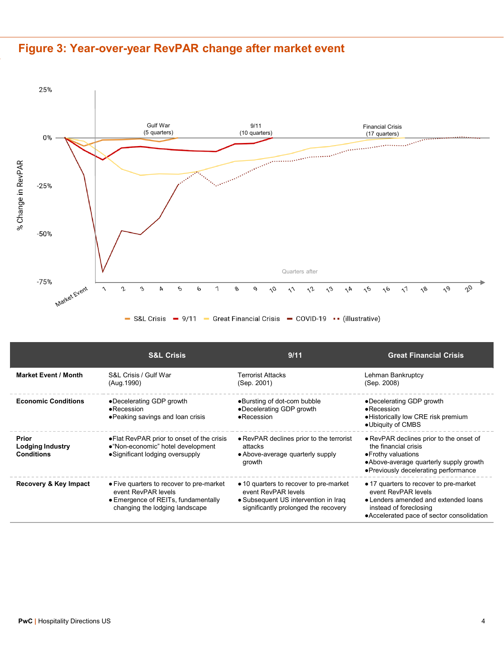



|                                                | <b>S&amp;L Crisis</b>                                                                                                                    | 9/11                                                                                                                                          | <b>Great Financial Crisis</b>                                                                                                                                                 |
|------------------------------------------------|------------------------------------------------------------------------------------------------------------------------------------------|-----------------------------------------------------------------------------------------------------------------------------------------------|-------------------------------------------------------------------------------------------------------------------------------------------------------------------------------|
| <b>Market Event / Month</b>                    | S&L Crisis / Gulf War<br>(Aug. 1990)                                                                                                     | <b>Terrorist Attacks</b><br>(Sep. 2001)                                                                                                       | Lehman Bankruptcy<br>(Sep. 2008)                                                                                                                                              |
| <b>Economic Conditions</b>                     | •Decelerating GDP growth<br>$\bullet$ Recession<br>• Peaking savings and loan crisis                                                     | •Bursting of dot-com bubble<br>•Decelerating GDP growth<br>$\bullet$ Recession                                                                | •Decelerating GDP growth<br>$\bullet$ Recession<br>• Historically low CRE risk premium<br>•Ubiquity of CMBS                                                                   |
| Prior<br>Lodging Industry<br><b>Conditions</b> | • Flat RevPAR prior to onset of the crisis<br>•"Non-economic" hotel development<br>• Significant lodging oversupply                      | • RevPAR declines prior to the terrorist<br>attacks<br>• Above-average quarterly supply<br>growth                                             | • RevPAR declines prior to the onset of<br>the financial crisis<br>• Frothy valuations<br>• Above-average quarterly supply growth<br>• Previously decelerating performance    |
| Recovery & Key Impact                          | • Five quarters to recover to pre-market<br>event RevPAR levels<br>• Emergence of REITs, fundamentally<br>changing the lodging landscape | • 10 quarters to recover to pre-market<br>event RevPAR levels<br>• Subsequent US intervention in Iraq<br>significantly prolonged the recovery | • 17 quarters to recover to pre-market<br>event RevPAR levels<br>• Lenders amended and extended loans<br>instead of foreclosing<br>• Accelerated pace of sector consolidation |